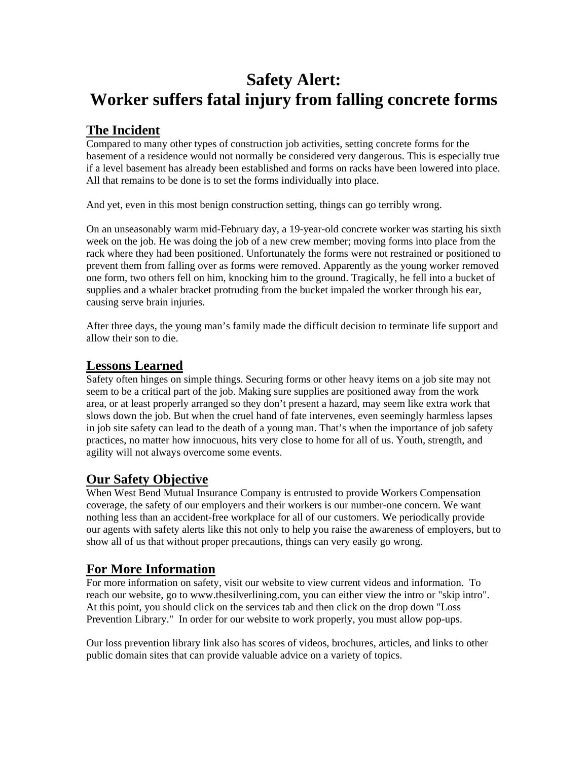# **Safety Alert: Worker suffers fatal injury from falling concrete forms**

## **The Incident**

Compared to many other types of construction job activities, setting concrete forms for the basement of a residence would not normally be considered very dangerous. This is especially true if a level basement has already been established and forms on racks have been lowered into place. All that remains to be done is to set the forms individually into place.

And yet, even in this most benign construction setting, things can go terribly wrong.

On an unseasonably warm mid-February day, a 19-year-old concrete worker was starting his sixth week on the job. He was doing the job of a new crew member; moving forms into place from the rack where they had been positioned. Unfortunately the forms were not restrained or positioned to prevent them from falling over as forms were removed. Apparently as the young worker removed one form, two others fell on him, knocking him to the ground. Tragically, he fell into a bucket of supplies and a whaler bracket protruding from the bucket impaled the worker through his ear, causing serve brain injuries.

After three days, the young man's family made the difficult decision to terminate life support and allow their son to die.

#### **Lessons Learned**

Safety often hinges on simple things. Securing forms or other heavy items on a job site may not seem to be a critical part of the job. Making sure supplies are positioned away from the work area, or at least properly arranged so they don't present a hazard, may seem like extra work that slows down the job. But when the cruel hand of fate intervenes, even seemingly harmless lapses in job site safety can lead to the death of a young man. That's when the importance of job safety practices, no matter how innocuous, hits very close to home for all of us. Youth, strength, and agility will not always overcome some events.

## **Our Safety Objective**

When West Bend Mutual Insurance Company is entrusted to provide Workers Compensation coverage, the safety of our employers and their workers is our number-one concern. We want nothing less than an accident-free workplace for all of our customers. We periodically provide our agents with safety alerts like this not only to help you raise the awareness of employers, but to show all of us that without proper precautions, things can very easily go wrong.

### **For More Information**

For more information on safety, visit our website to view current videos and information. To reach our website, go to www.thesilverlining.com, you can either view the intro or "skip intro". At this point, you should click on the services tab and then click on the drop down "Loss Prevention Library." In order for our website to work properly, you must allow pop-ups.

Our loss prevention library link also has scores of videos, brochures, articles, and links to other public domain sites that can provide valuable advice on a variety of topics.